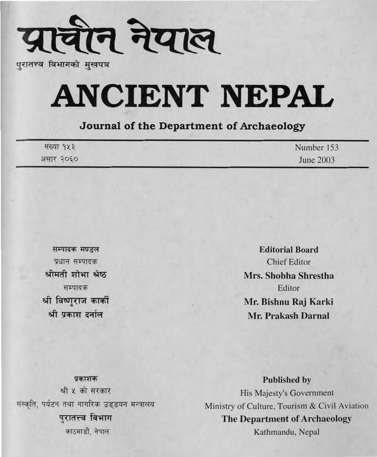

पुरातत्त्व विभागको मुखपत्र

# **ANCIENT NEPAL**

#### Journal of the Department of Archaeology

| संख्या १५३ | Number 153 |
|------------|------------|
| असार २०६०  | June 2003  |

सम्पादक मण्डल प्रधान सम्पादक श्रीमती शोभा श्रेष्ठ सम्पादक श्री विष्णुराज कार्की श्री प्रकाश दर्नाल

**Editorial Board Chief Editor** Mrs. Shobha Shrestha Editor Mr. Bishnu Raj Karki Mr. Prakash Darnal

प्रकाशक श्री ५ को सरकार संस्कृति, पर्यटन तथा नागरिक उड्डयन मन्त्रालय परातत्त्व विभाग काठमाडौं, नेपाल

**Published by** His Majesty's Government Ministry of Culture, Tourism & Civil Aviation The Department of Archaeology Kathmandu, Nepal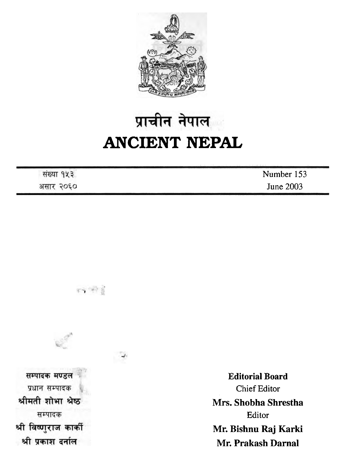

## प्राचीन नेपाल **ANCIENT NEPAL**

|              | Number 153 |
|--------------|------------|
| 5050<br>असार | June 2003  |



经审查

**Editorial Board**  Chief Editor **Mrs. Shobha Shrestha**  Editor **Mr. Bishnu Raj Karki Mr. Prakash Darnal**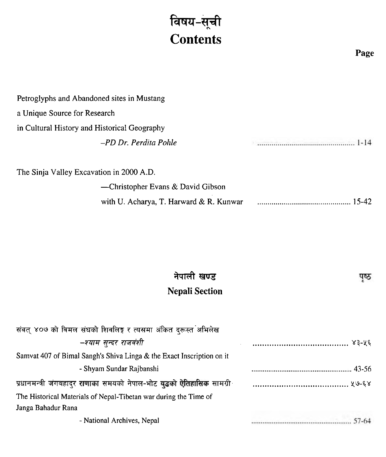### विषय-सूची **Contents**

**Page** 

पृष्ठ

| Petroglyphs and Abandoned sites in Mustang   |             |
|----------------------------------------------|-------------|
| a Unique Source for Research                 |             |
| in Cultural History and Historical Geography |             |
| -PD Dr. Perdita Pohle                        | <u>1-14</u> |
| The Sinja Valley Excavation in 2000 A.D.     |             |
| -Christopher Evans & David Gibson            |             |
| with U. Acharya, T. Harward & R. Kunwar      | 15-42       |

#### नेपाली खण्ड **Nepali Section**

| संवत् ४०७ को विमल संघको शिवलिङ्ग र त्यसमा अंकित दरूस्त अभिलेख           |  |
|-------------------------------------------------------------------------|--|
| –श्याम सुन्दर राजवंशी                                                   |  |
| Samvat 407 of Bimal Sangh's Shiva Linga & the Exact Inscription on it   |  |
| - Shyam Sundar Rajbanshi                                                |  |
| प्रधानमन्त्री जंगबहादुर राणाका समयको नेपाल-भोट युद्धको ऐतिहासिक सामग्री |  |
| The Historical Materials of Nepal-Tibetan war during the Time of        |  |
| Janga Bahadur Rana                                                      |  |
| - National Archives, Nepal                                              |  |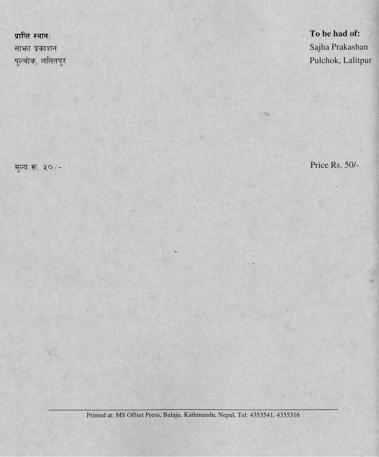प्राप्ति स्थानः साफा प्रकाशन पुल्चोक, ललितपुर

मूल्य रू. ५०/-

To be had of: Sajha Prakashan Pulchok, Lalitpur

Price Rs. 50/-

Printed at: MS Offset Press, Balaju, Kathmandu, Nepal, Tel: 4353541, 4355316